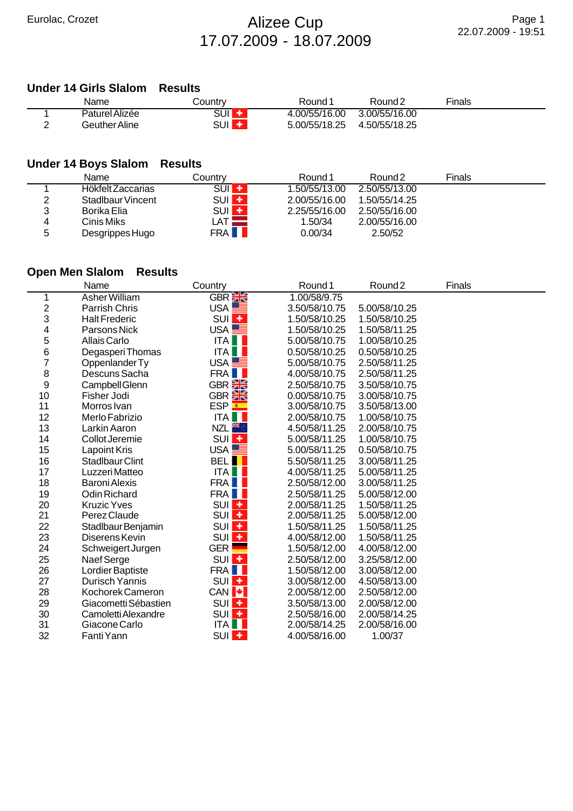## Eurolac, Crozet **Alizee Cup** 17.07.2009 - 18.07.2009

### **Under 14 Girls Slalom Results**

| Name           | Country    | Round <sup>*</sup> | Round <sub>2</sub> | Finals |  |
|----------------|------------|--------------------|--------------------|--------|--|
| Paturel Alizée | SUI        | 4.00/55/16.00      | 3.00/55/16.00      |        |  |
| Geuther Aline  | SUI<br>. . | 5.00/55/18.25      | 4.50/55/18.25      |        |  |

## **Under 14 Boys Slalom Results**

|   | Name              | Countrv          | Round 1       | Round <sub>2</sub> | Finals |  |
|---|-------------------|------------------|---------------|--------------------|--------|--|
|   | Hökfelt Zaccarias | $SUI +$          | 1.50/55/13.00 | 2.50/55/13.00      |        |  |
| 2 | Stadlbaur Vincent | $SUI +$          | 2.00/55/16.00 | 1.50/55/14.25      |        |  |
| ว | Borika Elia       | SUI <sup>+</sup> | 2.25/55/16.00 | 2.50/55/16.00      |        |  |
| 4 | Cinis Miks        | LAT.             | 1.50/34       | 2.00/55/16.00      |        |  |
| 5 | Desgrippes Hugo   | <b>FRAII</b>     | 0.00/34       | 2.50/52            |        |  |

## **Open Men Slalom Results**

|                | Name                   | Country              | Round <sub>1</sub> | Round <sub>2</sub> | <b>Finals</b> |  |
|----------------|------------------------|----------------------|--------------------|--------------------|---------------|--|
| 1              | Asher William          | GBR <sup>S</sup>     | 1.00/58/9.75       |                    |               |  |
| $\overline{c}$ | Parrish Chris          | USA <sup>LE</sup>    | 3.50/58/10.75      | 5.00/58/10.25      |               |  |
| 3              | <b>Halt Frederic</b>   | SUI <sup>+</sup>     | 1.50/58/10.25      | 1.50/58/10.25      |               |  |
| 4              | Parsons Nick           | USA <sup>LE</sup>    | 1.50/58/10.25      | 1.50/58/11.25      |               |  |
| 5              | Allais Carlo           | <b>ITA</b>           | 5.00/58/10.75      | 1.00/58/10.25      |               |  |
| 6              | Degasperi Thomas       | ITA                  | 0.50/58/10.25      | 0.50/58/10.25      |               |  |
| $\overline{7}$ | Oppenlander Ty         | USA $\equiv$         | 5.00/58/10.75      | 2.50/58/11.25      |               |  |
| 8              | Descuns Sacha          | FRA I                | 4.00/58/10.75      | 2.50/58/11.25      |               |  |
| 9              | Campbell Glenn         | GBR <b>&gt;k</b>     | 2.50/58/10.75      | 3.50/58/10.75      |               |  |
| 10             | Fisher Jodi            | GBR <sup>E</sup>     | 0.00/58/10.75      | 3.00/58/10.75      |               |  |
| 11             | Morros Ivan            | ESP <mark>≛</mark>   | 3.00/58/10.75      | 3.50/58/13.00      |               |  |
| 12             | Merlo Fabrizio         | ITA                  | 2.00/58/10.75      | 1.00/58/10.75      |               |  |
| 13             | Larkin Aaron           | NZL <sup>¥¥</sup> ∵  | 4.50/58/11.25      | 2.00/58/10.75      |               |  |
| 14             | Collot Jeremie         | $SUI +$              | 5.00/58/11.25      | 1.00/58/10.75      |               |  |
| 15             | Lapoint Kris           | USA <sup>LE</sup>    | 5.00/58/11.25      | 0.50/58/10.75      |               |  |
| 16             | <b>Stadlbaur Clint</b> | <b>BELII</b>         | 5.50/58/11.25      | 3.00/58/11.25      |               |  |
| 17             | Luzzeri Matteo         | ITA                  | 4.00/58/11.25      | 5.00/58/11.25      |               |  |
| 18             | <b>Baroni Alexis</b>   | FRA I                | 2.50/58/12.00      | 3.00/58/11.25      |               |  |
| 19             | <b>Odin Richard</b>    | FRA I                | 2.50/58/11.25      | 5.00/58/12.00      |               |  |
| 20             | <b>Kruzic Yves</b>     | SUI <sup>+</sup>     | 2.00/58/11.25      | 1.50/58/11.25      |               |  |
| 21             | Perez Claude           | SUI <sup>+</sup>     | 2.00/58/11.25      | 5.00/58/12.00      |               |  |
| 22             | Stadlbaur Benjamin     | SUI <sup>+</sup>     | 1.50/58/11.25      | 1.50/58/11.25      |               |  |
| 23             | Diserens Kevin         | SUI <sup>+</sup>     | 4.00/58/12.00      | 1.50/58/11.25      |               |  |
| 24             | Schweigert Jurgen      | $GER$ $\blacksquare$ | 1.50/58/12.00      | 4.00/58/12.00      |               |  |
| 25             | Naef Serge             | SUI <sup>+</sup>     | 2.50/58/12.00      | 3.25/58/12.00      |               |  |
| 26             | Lordier Baptiste       | FRA <b>I</b>         | 1.50/58/12.00      | 3.00/58/12.00      |               |  |
| 27             | Durisch Yannis         | SUI <sup>+</sup>     | 3.00/58/12.00      | 4.50/58/13.00      |               |  |
| 28             | Kochorek Cameron       | CAN <sup>I+</sup>    | 2.00/58/12.00      | 2.50/58/12.00      |               |  |
| 29             | Giacometti Sébastien   | $SUI +$              | 3.50/58/13.00      | 2.00/58/12.00      |               |  |
| 30             | Camoletti Alexandre    | SUI <sup>+</sup>     | 2.50/58/16.00      | 2.00/58/14.25      |               |  |
| 31             | Giacone Carlo          | ITA                  | 2.00/58/14.25      | 2.00/58/16.00      |               |  |
| 32             | Fanti Yann             | SUI <sup>+</sup>     | 4.00/58/16.00      | 1.00/37            |               |  |